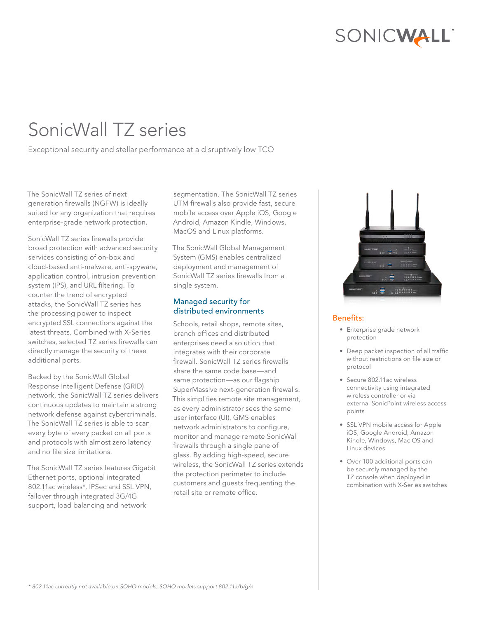# SONICWALL"

# SonicWall TZ series

Exceptional security and stellar performance at a disruptively low TCO

The SonicWall TZ series of next generation firewalls (NGFW) is ideally suited for any organization that requires enterprise-grade network protection.

SonicWall TZ series firewalls provide broad protection with advanced security services consisting of on-box and cloud-based anti-malware, anti-spyware, application control, intrusion prevention system (IPS), and URL filtering. To counter the trend of encrypted attacks, the SonicWall TZ series has the processing power to inspect encrypted SSL connections against the latest threats. Combined with X-Series switches, selected TZ series firewalls can directly manage the security of these additional ports.

Backed by the SonicWall Global Response Intelligent Defense (GRID) network, the SonicWall TZ series delivers continuous updates to maintain a strong network defense against cybercriminals. The SonicWall TZ series is able to scan every byte of every packet on all ports and protocols with almost zero latency and no file size limitations.

The SonicWall TZ series features Gigabit Ethernet ports, optional integrated 802.11ac wireless\*, IPSec and SSL VPN, failover through integrated 3G/4G support, load balancing and network

segmentation. The SonicWall TZ series UTM firewalls also provide fast, secure mobile access over Apple iOS, Google Android, Amazon Kindle, Windows, MacOS and Linux platforms.

The SonicWall Global Management System (GMS) enables centralized deployment and management of SonicWall TZ series firewalls from a single system.

# Managed security for distributed environments

Schools, retail shops, remote sites, branch offices and distributed enterprises need a solution that integrates with their corporate firewall. SonicWall TZ series firewalls share the same code base—and same protection—as our flagship SuperMassive next-generation firewalls. This simplifies remote site management, as every administrator sees the same user interface (UI). GMS enables network administrators to configure, monitor and manage remote SonicWall firewalls through a single pane of glass. By adding high-speed, secure wireless, the SonicWall TZ series extends the protection perimeter to include customers and guests frequenting the retail site or remote office.



## Benefits:

- Enterprise grade network protection
- Deep packet inspection of all traffic without restrictions on file size or protocol
- Secure 802.11ac wireless connectivity using integrated wireless controller or via external SonicPoint wireless access points
- SSL VPN mobile access for Apple iOS, Google Android, Amazon Kindle, Windows, Mac OS and Linux devices
- Over 100 additional ports can be securely managed by the TZ console when deployed in combination with X-Series switches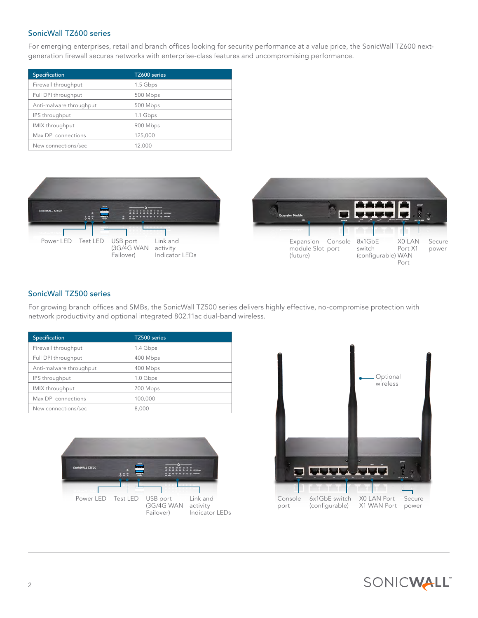## SonicWall TZ600 series

For emerging enterprises, retail and branch offices looking for security performance at a value price, the SonicWall TZ600 nextgeneration firewall secures networks with enterprise-class features and uncompromising performance.

| Specification           | TZ600 series |
|-------------------------|--------------|
| Firewall throughput     | 1.5 Gbps     |
| Full DPI throughput     | 500 Mbps     |
| Anti-malware throughput | 500 Mbps     |
| IPS throughput          | 1.1 Gbps     |
| <b>IMIX</b> throughput  | 900 Mbps     |
| Max DPI connections     | 125,000      |
| New connections/sec     | 12,000       |



# SonicWall TZ500 series

For growing branch offices and SMBs, the SonicWall TZ500 series delivers highly effective, no-compromise protection with network productivity and optional integrated 802.11ac dual-band wireless.

| Specification           | TZ500 series |
|-------------------------|--------------|
| Firewall throughput     | 1.4 Gbps     |
| Full DPI throughput     | 400 Mbps     |
| Anti-malware throughput | 400 Mbps     |
| IPS throughput          | 1.0 Gbps     |
| IMIX throughput         | 700 Mbps     |
| Max DPI connections     | 100,000      |
| New connections/sec     | 8,000        |



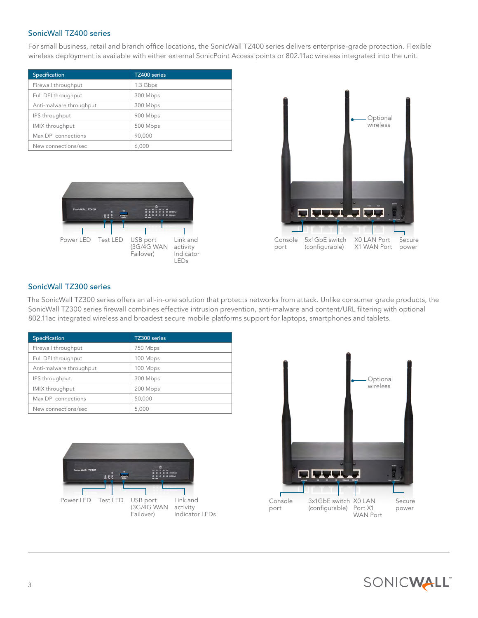#### SonicWall TZ400 series

For small business, retail and branch office locations, the SonicWall TZ400 series delivers enterprise-grade protection. Flexible wireless deployment is available with either external SonicPoint Access points or 802.11ac wireless integrated into the unit.

| Specification           | TZ400 series |
|-------------------------|--------------|
| Firewall throughput     | 1.3 Gbps     |
| Full DPI throughput     | 300 Mbps     |
| Anti-malware throughput | 300 Mbps     |
| IPS throughput          | 900 Mbps     |
| IMIX throughput         | 500 Mbps     |
| Max DPI connections     | 90,000       |
| New connections/sec     | 6.000        |





#### SonicWall TZ300 series

The SonicWall TZ300 series offers an all-in-one solution that protects networks from attack. Unlike consumer grade products, the SonicWall TZ300 series firewall combines effective intrusion prevention, anti-malware and content/URL filtering with optional 802.11ac integrated wireless and broadest secure mobile platforms support for laptops, smartphones and tablets.

| Specification           | TZ300 series |
|-------------------------|--------------|
| Firewall throughput     | 750 Mbps     |
| Full DPI throughput     | 100 Mbps     |
| Anti-malware throughput | 100 Mbps     |
| IPS throughput          | 300 Mbps     |
| IMIX throughput         | 200 Mbps     |
| Max DPI connections     | 50,000       |
| New connections/sec     | 5,000        |





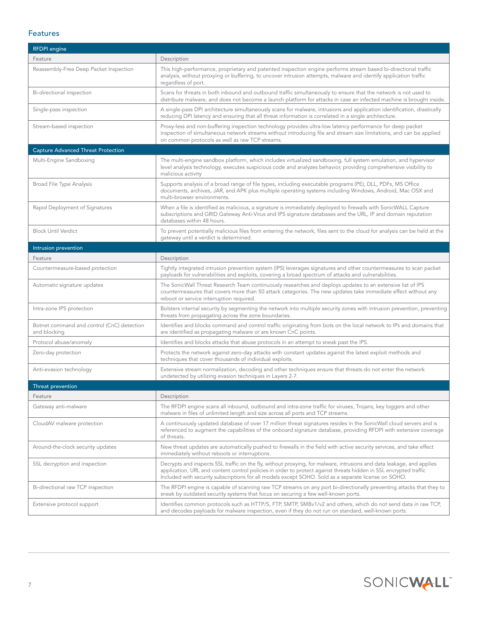#### Features

| <b>RFDPI</b> engine                                        |                                                                                                                                                                                                                                                                                                                                                    |  |
|------------------------------------------------------------|----------------------------------------------------------------------------------------------------------------------------------------------------------------------------------------------------------------------------------------------------------------------------------------------------------------------------------------------------|--|
| Feature                                                    | Description                                                                                                                                                                                                                                                                                                                                        |  |
| Reassembly-Free Deep Packet Inspection                     | This high-performance, proprietary and patented inspection engine performs stream based bi-directional traffic<br>analysis, without proxying or buffering, to uncover intrusion attempts, malware and identify application traffic<br>regardless of port.                                                                                          |  |
| Bi-directional inspection                                  | Scans for threats in both inbound and outbound traffic simultaneously to ensure that the network is not used to<br>distribute malware, and does not become a launch platform for attacks in case an infected machine is brought inside.                                                                                                            |  |
| Single-pass inspection                                     | A single-pass DPI architecture simultaneously scans for malware, intrusions and application identification, drastically<br>reducing DPI latency and ensuring that all threat information is correlated in a single architecture.                                                                                                                   |  |
| Stream-based inspection                                    | Proxy-less and non-buffering inspection technology provides ultra-low latency performance for deep packet<br>inspection of simultaneous network streams without introducing file and stream size limitations, and can be applied<br>on common protocols as well as raw TCP streams.                                                                |  |
| <b>Capture Advanced Threat Protection</b>                  |                                                                                                                                                                                                                                                                                                                                                    |  |
| Multi-Engine Sandboxing                                    | The multi-engine sandbox platform, which includes virtualized sandboxing, full system emulation, and hypervisor<br>level analysis technology, executes suspicious code and analyzes behavior, providing comprehensive visibility to<br>malicious activity                                                                                          |  |
| Broad File Type Analysis                                   | Supports analysis of a broad range of file types, including executable programs (PE), DLL, PDFs, MS Office<br>documents, archives, JAR, and APK plus multiple operating systems including Windows, Android, Mac OSX and<br>multi-browser environments.                                                                                             |  |
| Rapid Deployment of Signatures                             | When a file is identified as malicious, a signature is immediately deployed to firewalls with SonicWALL Capture<br>subscriptions and GRID Gateway Anti-Virus and IPS signature databases and the URL, IP and domain reputation<br>databases within 48 hours.                                                                                       |  |
| <b>Block Until Verdict</b>                                 | To prevent potentially malicious files from entering the network, files sent to the cloud for analysis can be held at the<br>gateway until a verdict is determined.                                                                                                                                                                                |  |
| Intrusion prevention                                       |                                                                                                                                                                                                                                                                                                                                                    |  |
| Feature                                                    | Description                                                                                                                                                                                                                                                                                                                                        |  |
| Countermeasure-based protection                            | Tightly integrated intrusion prevention system (IPS) leverages signatures and other countermeasures to scan packet<br>payloads for vulnerabilities and exploits, covering a broad spectrum of attacks and vulnerabilities.                                                                                                                         |  |
| Automatic signature updates                                | The SonicWall Threat Research Team continuously researches and deploys updates to an extensive list of IPS<br>countermeasures that covers more than 50 attack categories. The new updates take immediate effect without any<br>reboot or service interruption required.                                                                            |  |
| Intra-zone IPS protection                                  | Bolsters internal security by segmenting the network into multiple security zones with intrusion prevention, preventing<br>threats from propagating across the zone boundaries.                                                                                                                                                                    |  |
| Botnet command and control (CnC) detection<br>and blocking | Identifies and blocks command and control traffic originating from bots on the local network to IPs and domains that<br>are identified as propagating malware or are known CnC points.                                                                                                                                                             |  |
| Protocol abuse/anomaly                                     | Identifies and blocks attacks that abuse protocols in an attempt to sneak past the IPS.                                                                                                                                                                                                                                                            |  |
| Zero-day protection                                        | Protects the network against zero-day attacks with constant updates against the latest exploit methods and<br>techniques that cover thousands of individual exploits.                                                                                                                                                                              |  |
| Anti-evasion technology                                    | Extensive stream normalization, decoding and other techniques ensure that threats do not enter the network<br>undetected by utilizing evasion techniques in Layers 2-7.                                                                                                                                                                            |  |
| Threat prevention                                          |                                                                                                                                                                                                                                                                                                                                                    |  |
| Feature                                                    | Description                                                                                                                                                                                                                                                                                                                                        |  |
| Gateway anti-malware                                       | The RFDPI engine scans all inbound, outbound and intra-zone traffic for viruses, Trojans, key loggers and other<br>malware in files of unlimited length and size across all ports and TCP streams.                                                                                                                                                 |  |
| CloudAV malware protection                                 | A continuously updated database of over 17 million threat signatures resides in the SonicWall cloud servers and is<br>referenced to augment the capabilities of the onboard signature database, providing RFDPI with extensive coverage<br>of threats.                                                                                             |  |
| Around-the-clock security updates                          | New threat updates are automatically pushed to firewalls in the field with active security services, and take effect<br>immediately without reboots or interruptions.                                                                                                                                                                              |  |
| SSL decryption and inspection                              | Decrypts and inspects SSL traffic on the fly, without proxying, for malware, intrusions and data leakage, and applies<br>application, URL and content control policies in order to protect against threats hidden in SSL encrypted traffic<br>Included with security subscriptions for all models except SOHO. Sold as a separate license on SOHO. |  |
| Bi-directional raw TCP inspection                          | The RFDPI engine is capable of scanning raw TCP streams on any port bi-directionally preventing attacks that they to<br>sneak by outdated security systems that focus on securing a few well-known ports.                                                                                                                                          |  |
| Extensive protocol support                                 | Identifies common protocols such as HTTP/S, FTP, SMTP, SMBv1/v2 and others, which do not send data in raw TCP,<br>and decodes payloads for malware inspection, even if they do not run on standard, well-known ports.                                                                                                                              |  |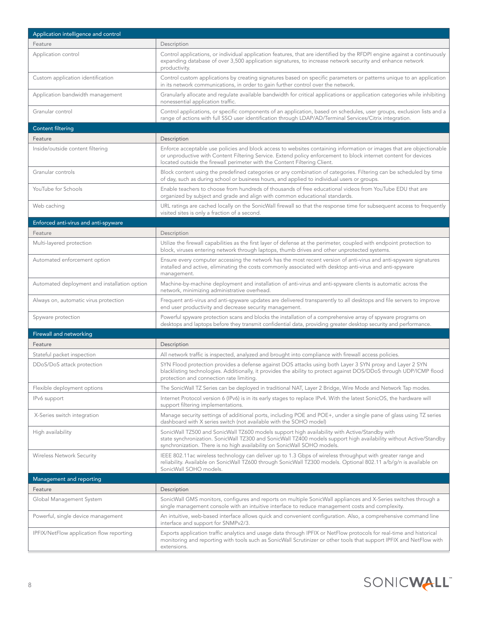| Application intelligence and control         |                                                                                                                                                                                                                                                                                                                      |  |
|----------------------------------------------|----------------------------------------------------------------------------------------------------------------------------------------------------------------------------------------------------------------------------------------------------------------------------------------------------------------------|--|
| Feature                                      | Description                                                                                                                                                                                                                                                                                                          |  |
| Application control                          | Control applications, or individual application features, that are identified by the RFDPI engine against a continuously<br>expanding database of over 3,500 application signatures, to increase network security and enhance network<br>productivity.                                                               |  |
| Custom application identification            | Control custom applications by creating signatures based on specific parameters or patterns unique to an application<br>in its network communications, in order to gain further control over the network.                                                                                                            |  |
| Application bandwidth management             | Granularly allocate and regulate available bandwidth for critical applications or application categories while inhibiting<br>nonessential application traffic.                                                                                                                                                       |  |
| Granular control                             | Control applications, or specific components of an application, based on schedules, user groups, exclusion lists and a<br>range of actions with full SSO user identification through LDAP/AD/Terminal Services/Citrix integration.                                                                                   |  |
| <b>Content filtering</b>                     |                                                                                                                                                                                                                                                                                                                      |  |
| Feature                                      | Description                                                                                                                                                                                                                                                                                                          |  |
| Inside/outside content filtering             | Enforce acceptable use policies and block access to websites containing information or images that are objectionable<br>or unproductive with Content Filtering Service. Extend policy enforcement to block internet content for devices<br>located outside the firewall perimeter with the Content Filtering Client. |  |
| Granular controls                            | Block content using the predefined categories or any combination of categories. Filtering can be scheduled by time<br>of day, such as during school or business hours, and applied to individual users or groups.                                                                                                    |  |
| YouTube for Schools                          | Enable teachers to choose from hundreds of thousands of free educational videos from YouTube EDU that are<br>organized by subject and grade and align with common educational standards.                                                                                                                             |  |
| Web caching                                  | URL ratings are cached locally on the SonicWall firewall so that the response time for subsequent access to frequently<br>visited sites is only a fraction of a second.                                                                                                                                              |  |
| Enforced anti-virus and anti-spyware         |                                                                                                                                                                                                                                                                                                                      |  |
| Feature                                      | Description                                                                                                                                                                                                                                                                                                          |  |
| Multi-layered protection                     | Utilize the firewall capabilities as the first layer of defense at the perimeter, coupled with endpoint protection to<br>block, viruses entering network through laptops, thumb drives and other unprotected systems.                                                                                                |  |
| Automated enforcement option                 | Ensure every computer accessing the network has the most recent version of anti-virus and anti-spyware signatures<br>installed and active, eliminating the costs commonly associated with desktop anti-virus and anti-spyware<br>management.                                                                         |  |
| Automated deployment and installation option | Machine-by-machine deployment and installation of anti-virus and anti-spyware clients is automatic across the<br>network, minimizing administrative overhead.                                                                                                                                                        |  |
| Always on, automatic virus protection        | Frequent anti-virus and anti-spyware updates are delivered transparently to all desktops and file servers to improve<br>end user productivity and decrease security management.                                                                                                                                      |  |
| Spyware protection                           | Powerful spyware protection scans and blocks the installation of a comprehensive array of spyware programs on<br>desktops and laptops before they transmit confidential data, providing greater desktop security and performance.                                                                                    |  |
| Firewall and networking                      |                                                                                                                                                                                                                                                                                                                      |  |
| Feature                                      | Description                                                                                                                                                                                                                                                                                                          |  |
| Stateful packet inspection                   | All network traffic is inspected, analyzed and brought into compliance with firewall access policies.                                                                                                                                                                                                                |  |
| DDoS/DoS attack protection                   | SYN Flood protection provides a defense against DOS attacks using both Layer 3 SYN proxy and Layer 2 SYN<br>blacklisting technologies. Additionally, it provides the ability to protect against DOS/DDoS through UDP/ICMP flood<br>protection and connection rate limiting.                                          |  |
| Flexible deployment options                  | The SonicWall TZ Series can be deployed in traditional NAT, Layer 2 Bridge, Wire Mode and Network Tap modes.                                                                                                                                                                                                         |  |
| IPv6 support                                 | Internet Protocol version 6 (IPv6) is in its early stages to replace IPv4. With the latest SonicOS, the hardware will<br>support filtering implementations.                                                                                                                                                          |  |
| X-Series switch integration                  | Manage security settings of additional ports, including POE and POE+, under a single pane of glass using TZ series<br>dashboard with X series switch (not available with the SOHO model)                                                                                                                             |  |
| High availability                            | SonicWall TZ500 and SonicWall TZ600 models support high availability with Active/Standby with<br>state synchronization. SonicWall TZ300 and SonicWall TZ400 models support high availability without Active/Standby<br>synchronization. There is no high availability on SonicWall SOHO models.                      |  |
| Wireless Network Security                    | IEEE 802.11ac wireless technology can deliver up to 1.3 Gbps of wireless throughput with greater range and<br>reliability. Available on SonicWall TZ600 through SonicWall TZ300 models. Optional 802.11 a/b/g/n is available on<br>SonicWall SOHO models.                                                            |  |
| Management and reporting                     |                                                                                                                                                                                                                                                                                                                      |  |
| Feature                                      | Description                                                                                                                                                                                                                                                                                                          |  |
| Global Management System                     | SonicWall GMS monitors, configures and reports on multiple SonicWall appliances and X-Series switches through a<br>single management console with an intuitive interface to reduce management costs and complexity.                                                                                                  |  |
| Powerful, single device management           | An intuitive, web-based interface allows quick and convenient configuration. Also, a comprehensive command line<br>interface and support for SNMPv2/3.                                                                                                                                                               |  |
| IPFIX/NetFlow application flow reporting     | Exports application traffic analytics and usage data through IPFIX or NetFlow protocols for real-time and historical<br>monitoring and reporting with tools such as SonicWall Scrutinizer or other tools that support IPFIX and NetFlow with<br>extensions.                                                          |  |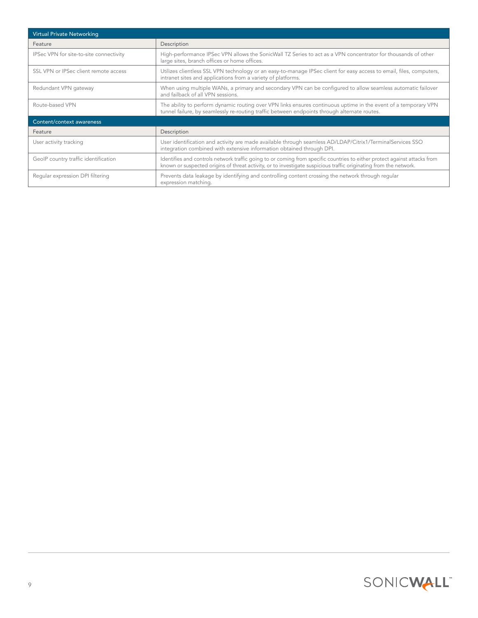| <b>Virtual Private Networking</b>       |                                                                                                                                                                                                                                                |
|-----------------------------------------|------------------------------------------------------------------------------------------------------------------------------------------------------------------------------------------------------------------------------------------------|
| Feature                                 | Description                                                                                                                                                                                                                                    |
| IPSec VPN for site-to-site connectivity | High-performance IPSec VPN allows the SonicWall TZ Series to act as a VPN concentrator for thousands of other<br>large sites, branch offices or home offices.                                                                                  |
| SSL VPN or IPSec client remote access   | Utilizes clientless SSL VPN technology or an easy-to-manage IPSec client for easy access to email, files, computers,<br>intranet sites and applications from a variety of platforms.                                                           |
| Redundant VPN gateway                   | When using multiple WANs, a primary and secondary VPN can be configured to allow seamless automatic failover<br>and failback of all VPN sessions.                                                                                              |
| Route-based VPN                         | The ability to perform dynamic routing over VPN links ensures continuous uptime in the event of a temporary VPN<br>tunnel failure, by seamlessly re-routing traffic between endpoints through alternate routes.                                |
| Content/context awareness               |                                                                                                                                                                                                                                                |
| Feature                                 | Description                                                                                                                                                                                                                                    |
| User activity tracking                  | User identification and activity are made available through seamless AD/LDAP/Citrix1/TerminalServices SSO<br>integration combined with extensive information obtained through DPI.                                                             |
| GeolP country traffic identification    | Identifies and controls network traffic going to or coming from specific countries to either protect against attacks from<br>known or suspected origins of threat activity, or to investigate suspicious traffic originating from the network. |
| Regular expression DPI filtering        | Prevents data leakage by identifying and controlling content crossing the network through regular<br>expression matching.                                                                                                                      |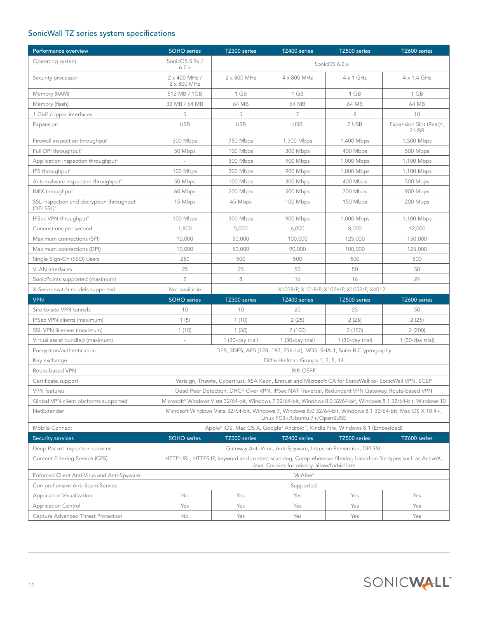# SonicWall TZ series system specifications

| Performance overview                                      | <b>SOHO</b> series                                                                                                                                              | TZ300 series     | TZ400 series                                                                                          | TZ500 series                              | TZ600 series                     |
|-----------------------------------------------------------|-----------------------------------------------------------------------------------------------------------------------------------------------------------------|------------------|-------------------------------------------------------------------------------------------------------|-------------------------------------------|----------------------------------|
| Operating system                                          | SonicOS 5.9x/<br>6.2.x                                                                                                                                          |                  |                                                                                                       | SonicOS 6.2.x                             |                                  |
| Security processor                                        | 2 x 400 MHz /<br>$2 \times 800$ MHz                                                                                                                             | 2 x 800 MHz      | 4 x 800 MHz                                                                                           | $4 \times 1$ GHz                          | 4 x 1.4 GHz                      |
| Memory (RAM)                                              | 512 MB / 1GB                                                                                                                                                    | 1 GB             | 1 GB                                                                                                  | 1 GB                                      | 1 GB                             |
| Memory (flash)                                            | 32 MB / 64 MB                                                                                                                                                   | 64 MB            | 64 MB                                                                                                 | 64 MB                                     | 64 MB                            |
| 1 GbE copper interfaces                                   | 5                                                                                                                                                               | 5                | $\overline{7}$                                                                                        | 8                                         | 10                               |
| Expansion                                                 | <b>USB</b>                                                                                                                                                      | <b>USB</b>       | <b>USB</b>                                                                                            | 2 USB                                     | Expansion Slot (Rear)*,<br>2 USB |
| Firewall inspection throughput <sup>1</sup>               | 300 Mbps                                                                                                                                                        | 750 Mbps         | 1,300 Mbps                                                                                            | 1,400 Mbps                                | 1,500 Mbps                       |
| Full DPI throughput <sup>2</sup>                          | 50 Mbps                                                                                                                                                         | 100 Mbps         | 300 Mbps                                                                                              | 400 Mbps                                  | 500 Mbps                         |
| Application inspection throughput <sup>2</sup>            |                                                                                                                                                                 | 300 Mbps         | 900 Mbps                                                                                              | 1,000 Mbps                                | 1,100 Mbps                       |
| IPS throughput <sup>2</sup>                               | 100 Mbps                                                                                                                                                        | 300 Mbps         | 900 Mbps                                                                                              | 1,000 Mbps                                | 1,100 Mbps                       |
| Anti-malware inspection throughput <sup>2</sup>           | 50 Mbps                                                                                                                                                         | 100 Mbps         | 300 Mbps                                                                                              | 400 Mbps                                  | 500 Mbps                         |
| IMIX throughput <sup>3</sup>                              | 60 Mbps                                                                                                                                                         | 200 Mbps         | 500 Mbps                                                                                              | 700 Mbps                                  | 900 Mbps                         |
| SSL inspection and decryption throughput<br>$(DPI SSL)^2$ | 15 Mbps                                                                                                                                                         | 45 Mbps          | 100 Mbps                                                                                              | 150 Mbps                                  | 200 Mbps                         |
| IPSec VPN throughput <sup>3</sup>                         | 100 Mbps                                                                                                                                                        | 300 Mbps         | 900 Mbps                                                                                              | 1,000 Mbps                                | 1,100 Mbps                       |
| Connections per second                                    | 1,800                                                                                                                                                           | 5,000            | 6,000                                                                                                 | 8,000                                     | 12,000                           |
| Maximum connections (SPI)                                 | 10,000                                                                                                                                                          | 50,000           | 100,000                                                                                               | 125,000                                   | 150,000                          |
| Maximum connections (DPI)                                 | 10,000                                                                                                                                                          | 50,000           | 90,000                                                                                                | 100,000                                   | 125,000                          |
| Single Sign-On (SSO) Users                                | 250                                                                                                                                                             | 500              | 500                                                                                                   | 500                                       | 500                              |
| <b>VLAN</b> interfaces                                    | 25                                                                                                                                                              | 25               | 50                                                                                                    | 50                                        | 50                               |
| SonicPoints supported (maximum)                           | $\overline{2}$                                                                                                                                                  | 8                | 16                                                                                                    | 16                                        | 24                               |
| X-Series switch models supported                          | Not available                                                                                                                                                   |                  |                                                                                                       | X1008/P, X1018/P, X1026/P, X1052/P, X4012 |                                  |
| <b>VPN</b>                                                | <b>SOHO</b> series                                                                                                                                              | TZ300 series     | TZ400 series                                                                                          | TZ500 series                              | TZ600 series                     |
| Site-to-site VPN tunnels                                  | 10                                                                                                                                                              | 10               | 20                                                                                                    | 25                                        | 50                               |
| IPSec VPN clients (maximum)                               | 1(5)                                                                                                                                                            | 1(10)            | 2(25)                                                                                                 | 2(25)                                     | 2(25)                            |
| SSL VPN licenses (maximum)                                | 1(10)                                                                                                                                                           | 1(50)            | 2(100)                                                                                                | 2(150)                                    | 2(200)                           |
| Virtual assist bundled (maximum)                          | $\overline{\phantom{a}}$                                                                                                                                        | 1 (30-day trial) | 1 (30-day trial)                                                                                      | 1 (30-day trial)                          | 1 (30-day trial)                 |
| Encryption/authentication                                 |                                                                                                                                                                 |                  | DES, 3DES, AES (128, 192, 256-bit), MD5, SHA-1, Suite B Cryptography                                  |                                           |                                  |
| Key exchange                                              |                                                                                                                                                                 |                  | Diffie Hellman Groups 1, 2, 5, 14                                                                     |                                           |                                  |
| Route-based VPN                                           |                                                                                                                                                                 |                  | RIP, OSPF                                                                                             |                                           |                                  |
| Certificate support                                       |                                                                                                                                                                 |                  | Verisign, Thawte, Cybertrust, RSA Keon, Entrust and Microsoft CA for SonicWall-to-SonicWall VPN, SCEP |                                           |                                  |
| VPN features                                              | Dead Peer Detection, DHCP Over VPN, IPSec NAT Traversal, Redundant VPN Gateway, Route-based VPN                                                                 |                  |                                                                                                       |                                           |                                  |
| Global VPN client platforms supported                     | Microsoft® Windows Vista 32/64-bit, Windows 7 32/64-bit, Windows 8.0 32/64-bit, Windows 8.1 32/64-bit, Windows 10                                               |                  |                                                                                                       |                                           |                                  |
| NetExtender                                               | Microsoft Windows Vista 32/64-bit, Windows 7, Windows 8.0 32/64-bit, Windows 8.1 32/64-bit, Mac OS X 10.4+,<br>Linux FC3+/Ubuntu 7+/OpenSUSE                    |                  |                                                                                                       |                                           |                                  |
| Mobile Connect                                            |                                                                                                                                                                 |                  | Apple® iOS, Mac OS X, Google® Android™, Kindle Fire, Windows 8.1 (Embedded)                           |                                           |                                  |
| <b>Security services</b>                                  | <b>SOHO</b> series                                                                                                                                              | TZ300 series     | TZ400 series                                                                                          | TZ500 series                              | TZ600 series                     |
| Deep Packet Inspection services                           |                                                                                                                                                                 |                  | Gateway Anti-Virus, Anti-Spyware, Intrusion Prevention, DPI SSL                                       |                                           |                                  |
| Content Filtering Service (CFS)                           | HTTP URL, HTTPS IP, keyword and content scanning, Comprehensive filtering based on file types such as ActiveX,<br>Java, Cookies for privacy, allow/forbid lists |                  |                                                                                                       |                                           |                                  |
| Enforced Client Anti-Virus and Anti-Spyware               |                                                                                                                                                                 |                  | McAfee®                                                                                               |                                           |                                  |
| Comprehensive Anti-Spam Service                           | Supported                                                                                                                                                       |                  |                                                                                                       |                                           |                                  |
| Application Visualization                                 | No                                                                                                                                                              | Yes              | Yes                                                                                                   | Yes                                       | Yes                              |
| <b>Application Control</b>                                | Yes                                                                                                                                                             | Yes              | Yes                                                                                                   | Yes                                       | Yes                              |
| Capture Advanced Threat Protection                        | No                                                                                                                                                              | Yes              | Yes                                                                                                   | Yes                                       | Yes                              |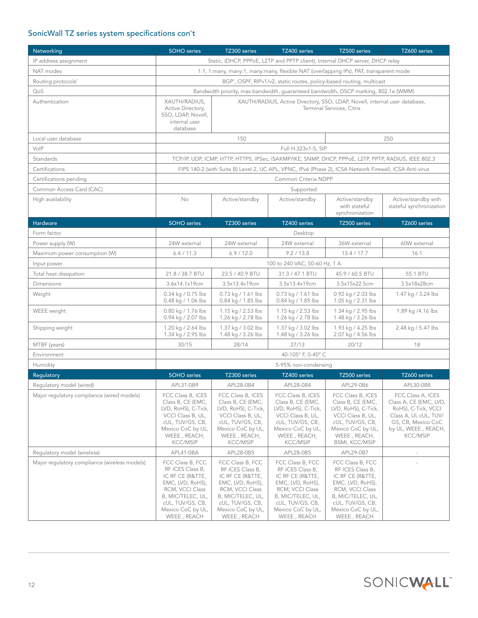# SonicWall TZ series system specifications con't

| Networking                                    | <b>SOHO</b> series                                                                                                                                                                               | TZ300 series                                                                                                                                                                 | TZ400 series                                                                                                                                                                 | TZ500 series                                                                                                                                                                 | TZ600 series                                                                                                                                                |
|-----------------------------------------------|--------------------------------------------------------------------------------------------------------------------------------------------------------------------------------------------------|------------------------------------------------------------------------------------------------------------------------------------------------------------------------------|------------------------------------------------------------------------------------------------------------------------------------------------------------------------------|------------------------------------------------------------------------------------------------------------------------------------------------------------------------------|-------------------------------------------------------------------------------------------------------------------------------------------------------------|
| IP address assignment                         | Static, (DHCP, PPPoE, L2TP and PPTP client), Internal DHCP server, DHCP relay                                                                                                                    |                                                                                                                                                                              |                                                                                                                                                                              |                                                                                                                                                                              |                                                                                                                                                             |
| NAT modes                                     | 1:1, 1:many, many:1, many:many, flexible NAT (overlapping IPs), PAT, transparent mode                                                                                                            |                                                                                                                                                                              |                                                                                                                                                                              |                                                                                                                                                                              |                                                                                                                                                             |
| Routing protocols <sup>4</sup>                | BGP <sup>4</sup> , OSPF, RIPv1/v2, static routes, policy-based routing, multicast                                                                                                                |                                                                                                                                                                              |                                                                                                                                                                              |                                                                                                                                                                              |                                                                                                                                                             |
| QoS                                           | Bandwidth priority, max bandwidth, guaranteed bandwidth, DSCP marking, 802.1e (WMM)                                                                                                              |                                                                                                                                                                              |                                                                                                                                                                              |                                                                                                                                                                              |                                                                                                                                                             |
| Authentication                                | XAUTH/RADIUS,<br>XAUTH/RADIUS, Active Directory, SSO, LDAP, Novell, internal user database,<br>Active Directory,<br>Terminal Services, Citrix<br>SSO, LDAP, Novell,<br>internal user<br>database |                                                                                                                                                                              |                                                                                                                                                                              |                                                                                                                                                                              |                                                                                                                                                             |
| Local user database                           |                                                                                                                                                                                                  | 150                                                                                                                                                                          |                                                                                                                                                                              |                                                                                                                                                                              | 250                                                                                                                                                         |
| VoIP                                          |                                                                                                                                                                                                  |                                                                                                                                                                              | Full H.323v1-5, SIP                                                                                                                                                          |                                                                                                                                                                              |                                                                                                                                                             |
| Standards                                     |                                                                                                                                                                                                  |                                                                                                                                                                              | TCP/IP, UDP, ICMP, HTTP, HTTPS, IPSec, ISAKMP/IKE, SNMP, DHCP, PPPoE, L2TP, PPTP, RADIUS, IEEE 802.3                                                                         |                                                                                                                                                                              |                                                                                                                                                             |
| Certifications                                |                                                                                                                                                                                                  |                                                                                                                                                                              | FIPS 140-2 (with Suite B) Level 2, UC APL, VPNC, IPv6 (Phase 2), ICSA Network Firewall, ICSA Anti-virus                                                                      |                                                                                                                                                                              |                                                                                                                                                             |
| Certifications pending                        |                                                                                                                                                                                                  |                                                                                                                                                                              | Common Criteria NDPP                                                                                                                                                         |                                                                                                                                                                              |                                                                                                                                                             |
| Common Access Card (CAC)                      |                                                                                                                                                                                                  |                                                                                                                                                                              | Supported                                                                                                                                                                    |                                                                                                                                                                              |                                                                                                                                                             |
| High availability                             | No                                                                                                                                                                                               | Active/standby                                                                                                                                                               | Active/standby                                                                                                                                                               | Active/standby<br>with stateful<br>synchronization                                                                                                                           | Active/standby with<br>stateful synchronization                                                                                                             |
| Hardware                                      | <b>SOHO</b> series                                                                                                                                                                               | TZ300 series                                                                                                                                                                 | TZ400 series                                                                                                                                                                 | TZ500 series                                                                                                                                                                 | TZ600 series                                                                                                                                                |
| Form factor                                   |                                                                                                                                                                                                  |                                                                                                                                                                              | Desktop                                                                                                                                                                      |                                                                                                                                                                              |                                                                                                                                                             |
| Power supply (W)                              | 24W external                                                                                                                                                                                     | 24W external                                                                                                                                                                 | 24W external                                                                                                                                                                 | 36W external                                                                                                                                                                 | 60W external                                                                                                                                                |
| Maximum power consumption (W)                 | 6.4 / 11.3                                                                                                                                                                                       | 6.9/12.0                                                                                                                                                                     | 9.2 / 13.8                                                                                                                                                                   | 13.4 / 17.7                                                                                                                                                                  | 16.1                                                                                                                                                        |
| Input power                                   |                                                                                                                                                                                                  |                                                                                                                                                                              | 100 to 240 VAC, 50-60 Hz, 1 A                                                                                                                                                |                                                                                                                                                                              |                                                                                                                                                             |
| Total heat dissipation                        | 21.8 / 38.7 BTU                                                                                                                                                                                  | 23.5 / 40.9 BTU                                                                                                                                                              | 31.3 / 47.1 BTU                                                                                                                                                              | 45.9 / 60.5 BTU                                                                                                                                                              | 55.1 BTU                                                                                                                                                    |
| Dimensions                                    | 3.6x14.1x19cm                                                                                                                                                                                    | 3.5x13.4x19cm                                                                                                                                                                | 3.5x13.4x19cm                                                                                                                                                                | 3.5x15x22.5cm                                                                                                                                                                | 3.5x18x28cm                                                                                                                                                 |
| Weight                                        | 0.34 kg / 0.75 lbs<br>0.48 kg / 1.06 lbs                                                                                                                                                         | 0.73 kg / 1.61 lbs<br>0.84 kg / 1.85 lbs                                                                                                                                     | 0.73 kg / 1.61 lbs<br>0.84 kg / 1.85 lbs                                                                                                                                     | 0.92 kg / 2.03 lbs<br>1.05 kg / 2.31 lbs                                                                                                                                     | 1.47 kg / 3.24 lbs                                                                                                                                          |
| WEEE weight                                   | 0.80 kg / 1.76 lbs<br>0.94 kg / 2.07 lbs                                                                                                                                                         | 1.15 kg / 2.53 lbs<br>1.26 kg / 2.78 lbs                                                                                                                                     | 1.15 kg / 2.53 lbs<br>1.26 kg / 2.78 lbs                                                                                                                                     | 1.34 kg / 2.95 lbs<br>1.48 kg / 3.26 lbs                                                                                                                                     | 1.89 kg /4.16 lbs                                                                                                                                           |
| Shipping weight                               | 1.20 kg / 2.64 lbs<br>1.34 kg / 2.95 lbs                                                                                                                                                         | 1.37 kg / 3.02 lbs<br>1.48 kg / 3.26 lbs                                                                                                                                     | 1.37 kg / 3.02 lbs<br>1.48 kg / 3.26 lbs                                                                                                                                     | 1.93 kg / 4.25 lbs<br>2.07 kg / 4.56 lbs                                                                                                                                     | 2.48 kg / 5.47 lbs                                                                                                                                          |
| MTBF (years)                                  | 30/15                                                                                                                                                                                            | 28/14                                                                                                                                                                        | 27/13                                                                                                                                                                        | 20/12                                                                                                                                                                        | 18                                                                                                                                                          |
| Environment                                   |                                                                                                                                                                                                  |                                                                                                                                                                              | 40-105° F, 0-40° C                                                                                                                                                           |                                                                                                                                                                              |                                                                                                                                                             |
| Humidity                                      |                                                                                                                                                                                                  |                                                                                                                                                                              | 5-95% non-condensing                                                                                                                                                         |                                                                                                                                                                              |                                                                                                                                                             |
| Regulatory                                    | <b>SOHO</b> series                                                                                                                                                                               | TZ300 series                                                                                                                                                                 | TZ400 series                                                                                                                                                                 | TZ500 series                                                                                                                                                                 | TZ600 series                                                                                                                                                |
| Regulatory model (wired)                      | APL31-0B9                                                                                                                                                                                        | APL28-0B4                                                                                                                                                                    | APL28-0B4                                                                                                                                                                    | APL29-0B6                                                                                                                                                                    | APL30-0B8                                                                                                                                                   |
| Major regulatory compliance (wired models)    | FCC Class B, ICES<br>Class B, CE (EMC,<br>LVD, RoHS), C-Tick,<br>VCCI Class B, UL,<br>cUL, TUV/GS, CB,<br>Mexico CoC by UL,<br>WEEE, REACH,<br><b>KCC/MSIP</b>                                   | FCC Class B, ICES<br>Class B, CE (EMC,<br>LVD, RoHS), C-Tick,<br>VCCI Class B, UL,<br>cUL, TUV/GS, CB,<br>Mexico CoC by UL,<br>WEEE, REACH,<br><b>KCC/MSIP</b>               | FCC Class B, ICES<br>Class B, CE (EMC,<br>LVD, RoHS), C-Tick,<br>VCCI Class B, UL,<br>cUL, TUV/GS, CB,<br>Mexico CoC by UL,<br>WEEE, REACH,<br><b>KCC/MSIP</b>               | FCC Class B, ICES<br>Class B, CE (EMC,<br>LVD, RoHS), C-Tick,<br>VCCI Class B, UL,<br>cUL, TUV/GS, CB,<br>Mexico CoC by UL,<br>WEEE, REACH,<br><b>BSMI, KCC/MSIP</b>         | FCC Class A, ICES<br>Class A, CE (EMC, LVD,<br>RoHS), C-Tick, VCCI<br>Class A, UL cUL, TUV/<br>GS, CB, Mexico CoC<br>by UL, WEEE, REACH,<br><b>KCC/MSIP</b> |
| Regulatory model (wireless)                   | APL41-0BA                                                                                                                                                                                        | APL28-0B5                                                                                                                                                                    | APL28-0B5                                                                                                                                                                    | APL29-0B7                                                                                                                                                                    |                                                                                                                                                             |
| Major regulatory compliance (wireless models) | FCC Class B, FCC<br>RF ICES Class B,<br>IC RF CE (R&TTE,<br>EMC, LVD, RoHS),<br>RCM, VCCI Class<br>B, MIC/TELEC, UL,<br>cUL, TUV/GS, CB,<br>Mexico CoC by UL,<br>WEEE, REACH                     | FCC Class B, FCC<br>RF ICES Class B,<br>IC RF CE (R&TTE,<br>EMC, LVD, RoHS),<br>RCM, VCCI Class<br>B, MIC/TELEC, UL,<br>cUL, TUV/GS, CB,<br>Mexico CoC by UL,<br>WEEE, REACH | FCC Class B, FCC<br>RF ICES Class B,<br>IC RF CE (R&TTE,<br>EMC, LVD, RoHS),<br>RCM, VCCI Class<br>B, MIC/TELEC, UL,<br>cUL, TUV/GS, CB,<br>Mexico CoC by UL,<br>WEEE, REACH | FCC Class B, FCC<br>RF ICES Class B,<br>IC RF CE (R&TTE,<br>EMC, LVD, RoHS),<br>RCM, VCCI Class<br>B, MIC/TELEC, UL,<br>cUL, TUV/GS, CB,<br>Mexico CoC by UL,<br>WEEE, REACH |                                                                                                                                                             |